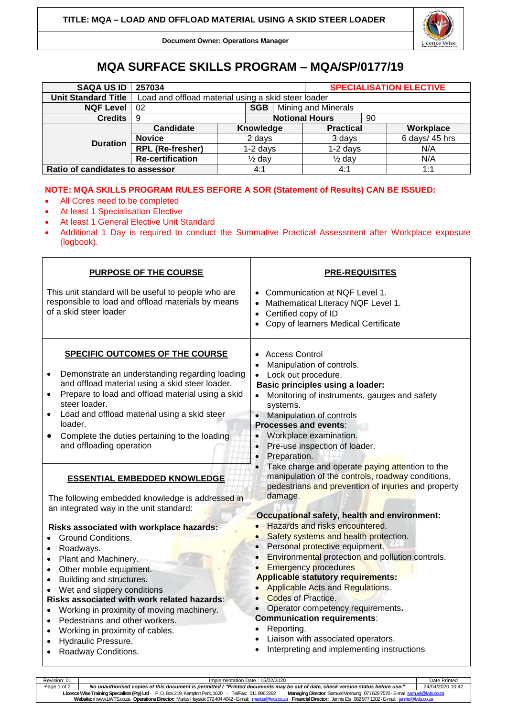

**Document Owner: Operations Manager**

## **MQA SURFACE SKILLS PROGRAM – MQA/SP/0177/19**

| <b>SAQA US ID</b>               | 257034                                              |                       |            |                            | <b>SPECIALISATION ELECTIVE</b> |  |                |  |
|---------------------------------|-----------------------------------------------------|-----------------------|------------|----------------------------|--------------------------------|--|----------------|--|
| <b>Unit Standard Title</b>      | Load and offload material using a skid steer loader |                       |            |                            |                                |  |                |  |
| <b>NQF Level</b>                | SGB  <br>02                                         |                       |            | <b>Mining and Minerals</b> |                                |  |                |  |
| <b>Credits</b>                  | -9                                                  | <b>Notional Hours</b> |            |                            | 90                             |  |                |  |
| <b>Duration</b>                 | Candidate                                           |                       |            | Knowledge                  | <b>Practical</b>               |  | Workplace      |  |
|                                 | <b>Novice</b>                                       | 2 days                |            |                            | 3 days                         |  | 6 days/ 45 hrs |  |
|                                 | <b>RPL</b> (Re-fresher)                             |                       | $1-2$ days |                            | $1-2$ days                     |  | N/A            |  |
|                                 | Re-certification                                    | $\frac{1}{2}$ day     |            |                            | $\frac{1}{2}$ day              |  | N/A            |  |
| Ratio of candidates to assessor |                                                     |                       | 4:1        |                            | 4:1                            |  | 1:1            |  |

## **NOTE: MQA SKILLS PROGRAM RULES BEFORE A SOR (Statement of Results) CAN BE ISSUED:**

- All Cores need to be completed
- At least 1 Specialisation Elective
- At least 1 General Elective Unit Standard
- Additional 1 Day is required to conduct the Summative Practical Assessment after Workplace exposure (logbook).

| <b>PURPOSE OF THE COURSE</b>                                                                                                                                                                                                                                                                                                                                                                                                                                                                  | <b>PRE-REQUISITES</b>                                                                                                                                                                                                                                                                                                                                                                                                                                                                                       |  |  |  |
|-----------------------------------------------------------------------------------------------------------------------------------------------------------------------------------------------------------------------------------------------------------------------------------------------------------------------------------------------------------------------------------------------------------------------------------------------------------------------------------------------|-------------------------------------------------------------------------------------------------------------------------------------------------------------------------------------------------------------------------------------------------------------------------------------------------------------------------------------------------------------------------------------------------------------------------------------------------------------------------------------------------------------|--|--|--|
| This unit standard will be useful to people who are<br>responsible to load and offload materials by means<br>of a skid steer loader                                                                                                                                                                                                                                                                                                                                                           | Communication at NQF Level 1.<br>Mathematical Literacy NQF Level 1.<br>Certified copy of ID<br>$\bullet$<br>Copy of learners Medical Certificate<br>$\bullet$                                                                                                                                                                                                                                                                                                                                               |  |  |  |
| <b>SPECIFIC OUTCOMES OF THE COURSE</b><br>Demonstrate an understanding regarding loading<br>and offload material using a skid steer loader.<br>Prepare to load and offload material using a skid<br>steer loader.<br>Load and offload material using a skid steer<br>loader.<br>Complete the duties pertaining to the loading<br>and offloading operation                                                                                                                                     | <b>Access Control</b><br>Manipulation of controls.<br>Lock out procedure.<br><b>Basic principles using a loader:</b><br>Monitoring of instruments, gauges and safety<br>systems.<br>Manipulation of controls<br>$\bullet$<br><b>Processes and events:</b><br>Workplace examination.<br>$\bullet$<br>Pre-use inspection of loader.<br>$\bullet$<br>Preparation.<br>$\bullet$                                                                                                                                 |  |  |  |
| <b>ESSENTIAL EMBEDDED KNOWLEDGE</b><br>The following embedded knowledge is addressed in<br>an integrated way in the unit standard:                                                                                                                                                                                                                                                                                                                                                            | Take charge and operate paying attention to the<br>manipulation of the controls, roadway conditions,<br>pedestrians and prevention of injuries and property<br>damage.<br>Occupational safety, health and environment:                                                                                                                                                                                                                                                                                      |  |  |  |
| Risks associated with workplace hazards:<br><b>Ground Conditions.</b><br>Roadways.<br>$\bullet$<br>Plant and Machinery.<br>Other mobile equipment.<br>$\bullet$<br>Building and structures.<br>$\bullet$<br>Wet and slippery conditions<br>Risks associated with work related hazards:<br>Working in proximity of moving machinery.<br>Pedestrians and other workers.<br>$\bullet$<br>Working in proximity of cables.<br>$\bullet$<br>Hydraulic Pressure.<br>$\bullet$<br>Roadway Conditions. | Hazards and risks encountered.<br>Safety systems and health protection.<br>Personal protective equipment.<br>Environmental protection and pollution controls.<br><b>Emergency procedures</b><br><b>Applicable statutory requirements:</b><br><b>Applicable Acts and Regulations.</b><br><b>Codes of Practice.</b><br>Operator competency requirements.<br>$\bullet$<br><b>Communication requirements:</b><br>Reporting.<br>Liaison with associated operators.<br>Interpreting and implementing instructions |  |  |  |

| Revision: 01                                                                                                                                                                                    | Implementation Date: 15/02/2020                                                                                                 |                  |  |  |  |
|-------------------------------------------------------------------------------------------------------------------------------------------------------------------------------------------------|---------------------------------------------------------------------------------------------------------------------------------|------------------|--|--|--|
| Page 1 of 2                                                                                                                                                                                     | No unauthorised copies of this document is permitted / "Printed documents may be out of date, check version status before use." | 24/04/2020 10:42 |  |  |  |
| Managing Director: Samuel Motloung 071 628 7570 - E-mail: samuel@lwts.co.za<br>Licence Wise Training Specialists (Pty) Ltd - P.O. Box 219, Kempton Park, 1620 - Tel/Fax: 011 896 2292           |                                                                                                                                 |                  |  |  |  |
| <b>Financial Director:</b> Jennie Els 082977 1302 - E-mail: <i>jennie@lwts.co.za</i><br>Website: // www.LWTS.co.za Operations Director: Marius Heystek 072 404 4042 - E-mail: marius@lwts.co.za |                                                                                                                                 |                  |  |  |  |
|                                                                                                                                                                                                 |                                                                                                                                 |                  |  |  |  |